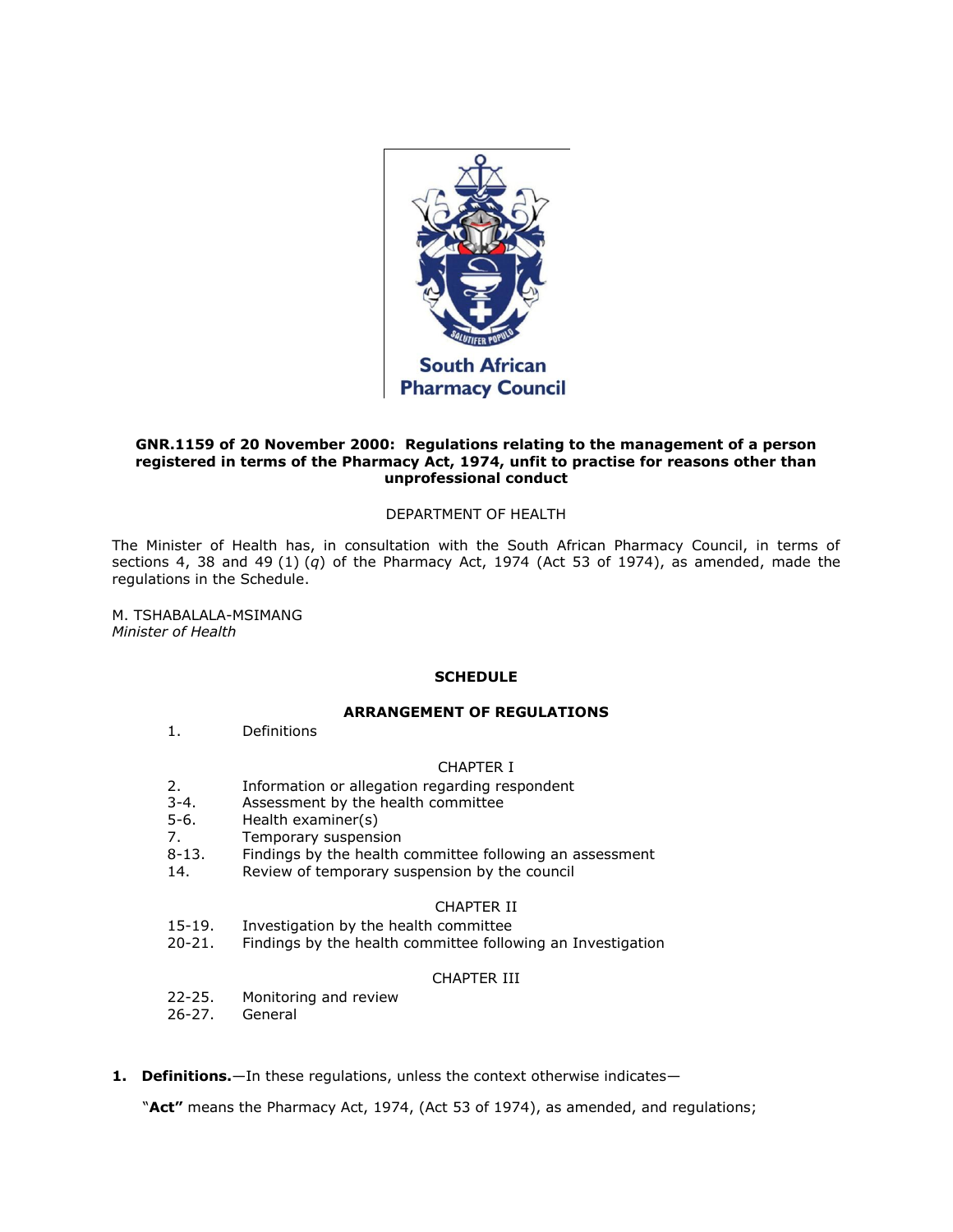

### **GNR.1159 of 20 November 2000: Regulations relating to the management of a person registered in terms of the Pharmacy Act, 1974, unfit to practise for reasons other than unprofessional conduct**

## DEPARTMENT OF HEALTH

The Minister of Health has, in consultation with the South African Pharmacy Council, in terms of [sections 4,](http://www.mylexisnexis.co.za/nxt/gateway.dll/jilc/kilc/xjsg/zmsg/0msg/m14h#0) [38](http://www.mylexisnexis.co.za/nxt/gateway.dll/jilc/kilc/xjsg/zmsg/0msg/o34h#0) and 49 [\(1\)](http://www.mylexisnexis.co.za/nxt/gateway.dll/jilc/kilc/xjsg/zmsg/0msg/g44h#14) (*q*) of the Pharmacy Act, 1974 (Act [53 of 1974\)](http://www.mylexisnexis.co.za/nxt/gateway.dll/jilc/kilc/xjsg/zmsg/0msg#0), as amended, made the regulations in [the Schedule.](http://www.mylexisnexis.co.za/nxt/gateway.dll/jilc/kilc/xjsg/zmsg/cnsg/6ok2a/trk2a?f=templates$fn=document-frame.htm$3.0$q=$x=$nc=4985#3a4)

M. TSHABALALA-MSIMANG *Minister of Health*

## **SCHEDULE**

## **ARRANGEMENT OF REGULATIONS**

[1.](http://www.mylexisnexis.co.za/nxt/gateway.dll/jilc/kilc/xjsg/zmsg/cnsg/6ok2a/trk2a/urk2a#3a3) Definitions

### CHAPTER I

- [2.](http://www.mylexisnexis.co.za/nxt/gateway.dll/jilc/kilc/xjsg/zmsg/cnsg/6ok2a/trk2a/vrk2a#3am) Information or allegation regarding respondent
- [3-](http://www.mylexisnexis.co.za/nxt/gateway.dll/jilc/kilc/xjsg/zmsg/cnsg/6ok2a/trk2a/wrk2a#3ar)[4.](http://www.mylexisnexis.co.za/nxt/gateway.dll/jilc/kilc/xjsg/zmsg/cnsg/6ok2a/trk2a/xrk2a#3ay) Assessment by the health committee
- [5-](http://www.mylexisnexis.co.za/nxt/gateway.dll/jilc/kilc/xjsg/zmsg/cnsg/6ok2a/trk2a/yrk2a#3az)[6.](http://www.mylexisnexis.co.za/nxt/gateway.dll/jilc/kilc/xjsg/zmsg/cnsg/6ok2a/trk2a/zrk2a#3b7) Health examiner(s)
- [7.](http://www.mylexisnexis.co.za/nxt/gateway.dll/jilc/kilc/xjsg/zmsg/cnsg/6ok2a/trk2a/0rk2a#3ba) Temporary suspension
- [8-](http://www.mylexisnexis.co.za/nxt/gateway.dll/jilc/kilc/xjsg/zmsg/cnsg/6ok2a/trk2a/1rk2a#3bb)[13.](http://www.mylexisnexis.co.za/nxt/gateway.dll/jilc/kilc/xjsg/zmsg/cnsg/6ok2a/trk2a/6rk2a#3bi) Findings by the health committee following an assessment
- [14.](http://www.mylexisnexis.co.za/nxt/gateway.dll/jilc/kilc/xjsg/zmsg/cnsg/6ok2a/trk2a/7rk2a#3bj) Review of temporary suspension by the council

## CHAPTER II

- [15](http://www.mylexisnexis.co.za/nxt/gateway.dll/jilc/kilc/xjsg/zmsg/cnsg/6ok2a/trk2a/8rk2a#3bn)[-19.](http://www.mylexisnexis.co.za/nxt/gateway.dll/jilc/kilc/xjsg/zmsg/cnsg/6ok2a/trk2a/csk2a#3c0) Investigation by the health committee
- [20](http://www.mylexisnexis.co.za/nxt/gateway.dll/jilc/kilc/xjsg/zmsg/cnsg/6ok2a/trk2a/dsk2a#3c1)[-21.](http://www.mylexisnexis.co.za/nxt/gateway.dll/jilc/kilc/xjsg/zmsg/cnsg/6ok2a/trk2a/esk2a#3ce) Findings by the health committee following an Investigation

# CHAPTER III

- [22](http://www.mylexisnexis.co.za/nxt/gateway.dll/jilc/kilc/xjsg/zmsg/cnsg/6ok2a/trk2a/fsk2a#3cf)[-25.](http://www.mylexisnexis.co.za/nxt/gateway.dll/jilc/kilc/xjsg/zmsg/cnsg/6ok2a/trk2a/isk2a#3cn) Monitoring and review
- [26](http://www.mylexisnexis.co.za/nxt/gateway.dll/jilc/kilc/xjsg/zmsg/cnsg/6ok2a/trk2a/jsk2a#3co)[-27.](http://www.mylexisnexis.co.za/nxt/gateway.dll/jilc/kilc/xjsg/zmsg/cnsg/6ok2a/trk2a/ksk2a#3cp) General
- **1. Definitions.**—In these regulations, unless the context otherwise indicates—

"**Act"** means the Pharmacy Act, 1974, (Act [53 of 1974\)](http://www.mylexisnexis.co.za/nxt/gateway.dll/jilc/kilc/xjsg/zmsg/0msg#0), as amended, and regulations;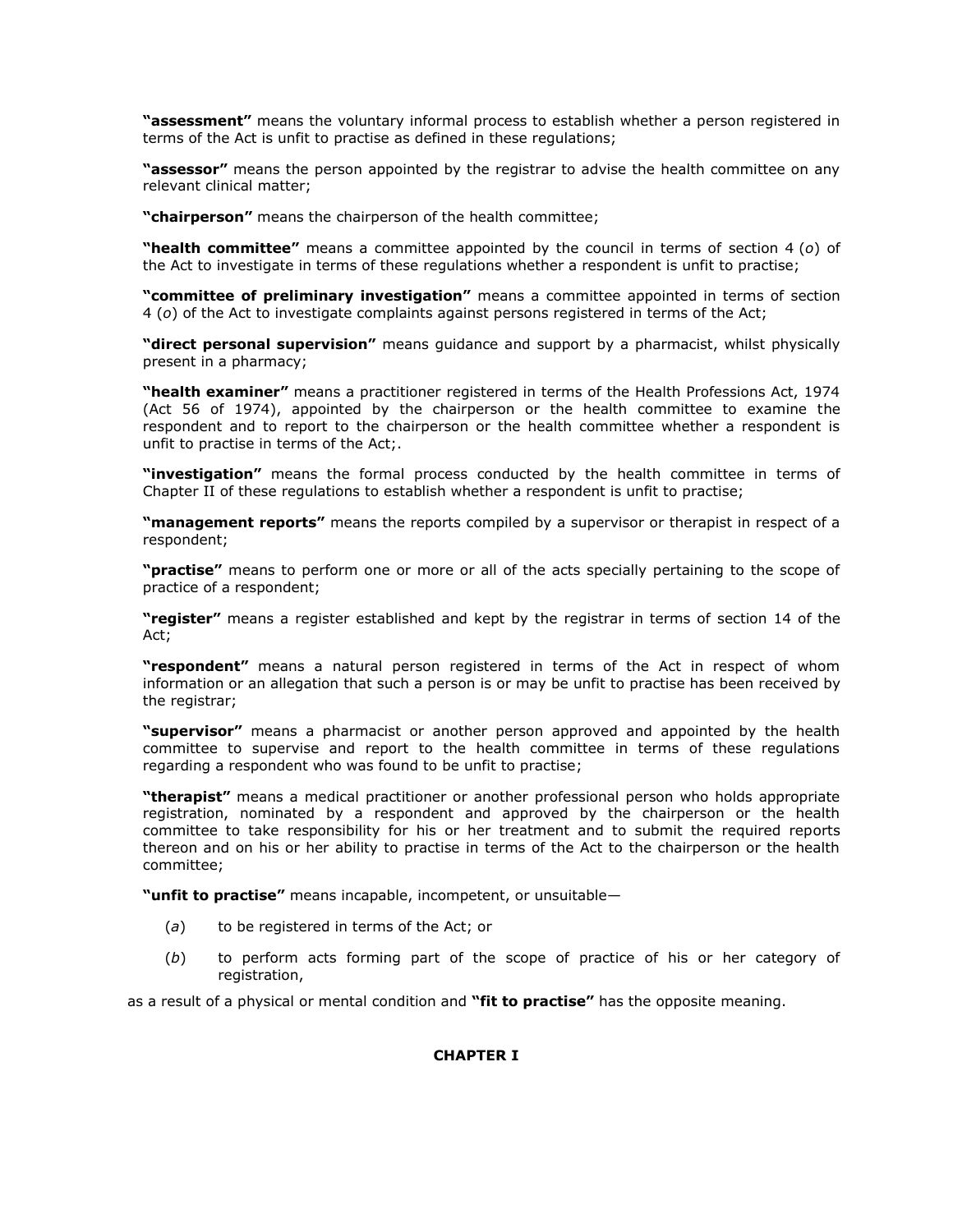**"assessment"** means the voluntary informal process to establish whether a person registered in terms of the Act is unfit to practise as defined in these regulations;

**"assessor"** means the person appointed by the registrar to advise the health committee on any relevant clinical matter;

**"chairperson"** means the chairperson of the health committee;

**"health committee"** means a committee appointed by the council in terms of [section 4](http://www.mylexisnexis.co.za/nxt/gateway.dll/jilc/kilc/xjsg/zmsg/0msg/m14h#f) (*o*) of the Act to investigate in terms of these regulations whether a respondent is unfit to practise;

**"committee of preliminary investigation"** means a committee appointed in terms of [section](http://www.mylexisnexis.co.za/nxt/gateway.dll/jilc/kilc/xjsg/zmsg/0msg/m14h#f)  [4](http://www.mylexisnexis.co.za/nxt/gateway.dll/jilc/kilc/xjsg/zmsg/0msg/m14h#f) (*o*) of the Act to investigate complaints against persons registered in terms of the Act;

**"direct personal supervision"** means guidance and support by a pharmacist, whilst physically present in a pharmacy;

**"health examiner"** means a practitioner registered in terms of the Health Professions Act, 1974 (Act [56 of 1974\)](http://www.mylexisnexis.co.za/nxt/gateway.dll/jilc/kilc/zhrg/i91ha/ae2ha#0), appointed by the chairperson or the health committee to examine the respondent and to report to the chairperson or the health committee whether a respondent is unfit to practise in terms of the Act;.

**"investigation"** means the formal process conducted by the health committee in terms of [Chapter II](http://www.mylexisnexis.co.za/nxt/gateway.dll/jilc/kilc/xjsg/zmsg/cnsg/6ok2a/trk2a#3a6) of these regulations to establish whether a respondent is unfit to practise;

**"management reports"** means the reports compiled by a supervisor or therapist in respect of a respondent;

**"practise"** means to perform one or more or all of the acts specially pertaining to the scope of practice of a respondent;

**"register"** means a register established and kept by the registrar in terms of [section 14](http://www.mylexisnexis.co.za/nxt/gateway.dll/jilc/kilc/xjsg/zmsg/0msg/614h#0) of the Act;

**"respondent"** means a natural person registered in terms of the Act in respect of whom information or an allegation that such a person is or may be unfit to practise has been received by the registrar;

**"supervisor"** means a pharmacist or another person approved and appointed by the health committee to supervise and report to the health committee in terms of these regulations regarding a respondent who was found to be unfit to practise;

**"therapist"** means a medical practitioner or another professional person who holds appropriate registration, nominated by a respondent and approved by the chairperson or the health committee to take responsibility for his or her treatment and to submit the required reports thereon and on his or her ability to practise in terms of the Act to the chairperson or the health committee;

**"unfit to practise"** means incapable, incompetent, or unsuitable—

- (*a*) to be registered in terms of the Act; or
- (*b*) to perform acts forming part of the scope of practice of his or her category of registration,

as a result of a physical or mental condition and **"fit to practise"** has the opposite meaning.

## **CHAPTER I**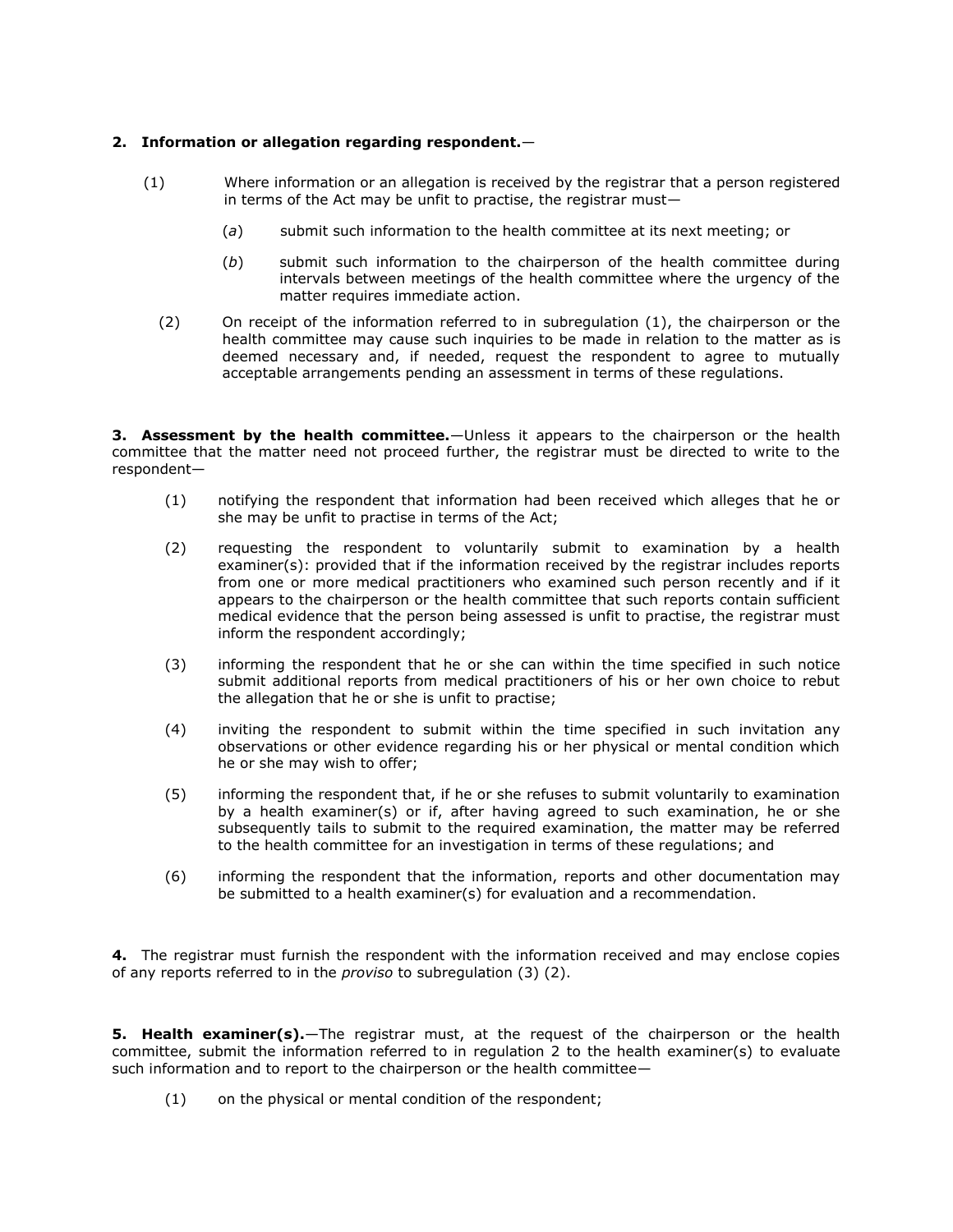## **2. Information or allegation regarding respondent.**—

- (1) Where information or an allegation is received by the registrar that a person registered in terms of the Act may be unfit to practise, the registrar must—
	- (*a*) submit such information to the health committee at its next meeting; or
	- (*b*) submit such information to the chairperson of the health committee during intervals between meetings of the health committee where the urgency of the matter requires immediate action.
	- (2) On receipt of the information referred to in [subregulation \(1\),](http://www.mylexisnexis.co.za/nxt/gateway.dll/jilc/kilc/xjsg/zmsg/cnsg/6ok2a/trk2a/vrk2a?f=templates$fn=document-frame.htm$3.0$q=$x=$nc=4039#3an) the chairperson or the health committee may cause such inquiries to be made in relation to the matter as is deemed necessary and, if needed, request the respondent to agree to mutually acceptable arrangements pending an assessment in terms of these regulations.

**3. Assessment by the health committee.**—Unless it appears to the chairperson or the health committee that the matter need not proceed further, the registrar must be directed to write to the respondent—

- (1) notifying the respondent that information had been received which alleges that he or she may be unfit to practise in terms of the Act;
- (2) requesting the respondent to voluntarily submit to examination by a health examiner(s): provided that if the information received by the registrar includes reports from one or more medical practitioners who examined such person recently and if it appears to the chairperson or the health committee that such reports contain sufficient medical evidence that the person being assessed is unfit to practise, the registrar must inform the respondent accordingly;
- (3) informing the respondent that he or she can within the time specified in such notice submit additional reports from medical practitioners of his or her own choice to rebut the allegation that he or she is unfit to practise;
- (4) inviting the respondent to submit within the time specified in such invitation any observations or other evidence regarding his or her physical or mental condition which he or she may wish to offer;
- (5) informing the respondent that, if he or she refuses to submit voluntarily to examination by a health examiner(s) or if, after having agreed to such examination, he or she subsequently tails to submit to the required examination, the matter may be referred to the health committee for an investigation in terms of these regulations; and
- (6) informing the respondent that the information, reports and other documentation may be submitted to a health examiner(s) for evaluation and a recommendation.

**4.** The registrar must furnish the respondent with the information received and may enclose copies of any reports referred to in the *proviso* to subregulation (3) (2).

**5. Health examiner(s).**—The registrar must, at the request of the chairperson or the health committee, submit the information referred to in [regulation 2](http://www.mylexisnexis.co.za/nxt/gateway.dll/jilc/kilc/xjsg/zmsg/cnsg/6ok2a/trk2a/vrk2a#3am) to the health examiner(s) to evaluate such information and to report to the chairperson or the health committee—

(1) on the physical or mental condition of the respondent;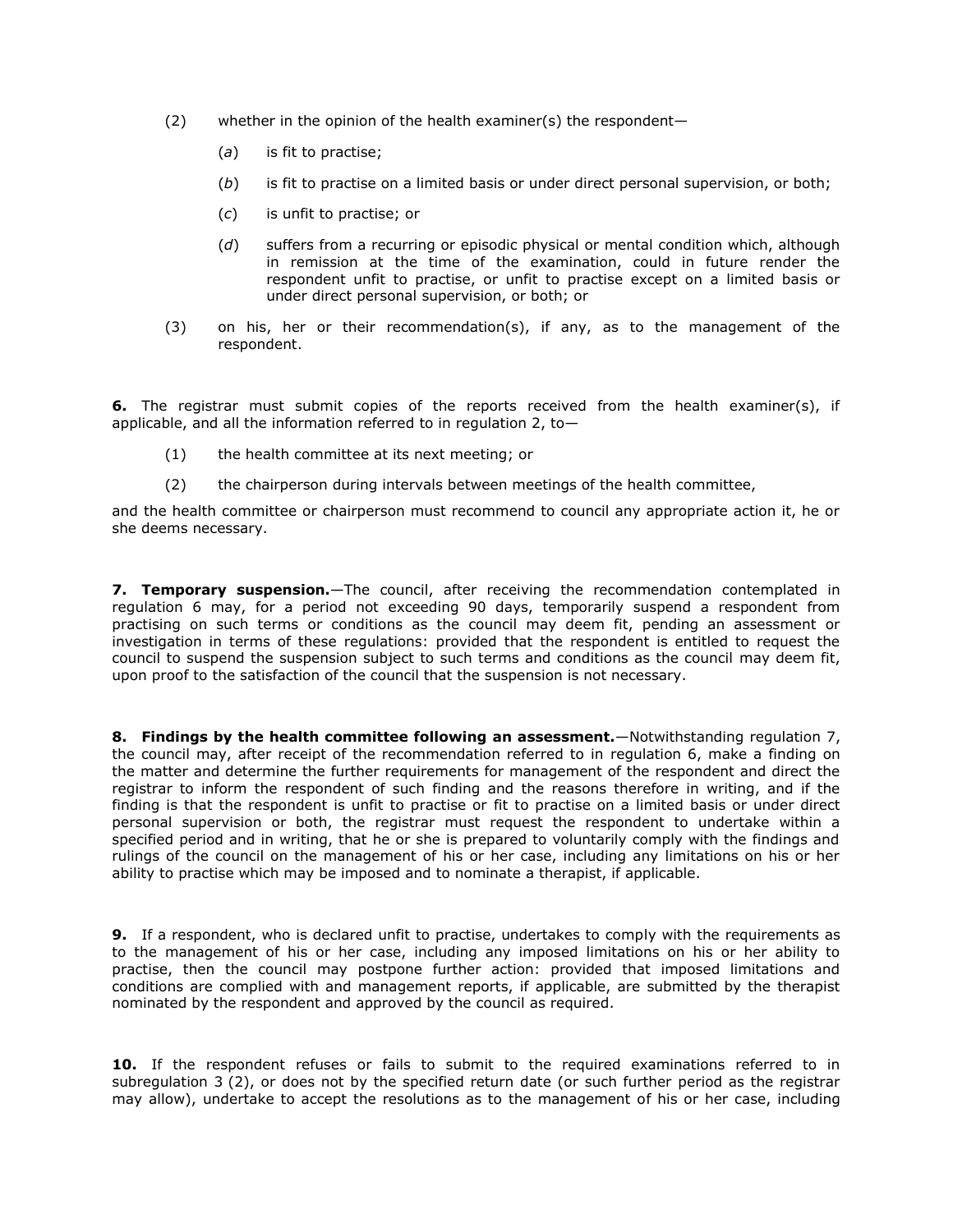- (2) whether in the opinion of the health examiner(s) the respondent—
	- (*a*) is fit to practise;
	- (*b*) is fit to practise on a limited basis or under direct personal supervision, or both;
	- (*c*) is unfit to practise; or
	- (*d*) suffers from a recurring or episodic physical or mental condition which, although in remission at the time of the examination, could in future render the respondent unfit to practise, or unfit to practise except on a limited basis or under direct personal supervision, or both; or
- (3) on his, her or their recommendation(s), if any, as to the management of the respondent.

**6.** The registrar must submit copies of the reports received from the health examiner(s), if applicable, and all the information referred to in [regulation 2,](http://www.mylexisnexis.co.za/nxt/gateway.dll/jilc/kilc/xjsg/zmsg/cnsg/6ok2a/trk2a/vrk2a#3am) to  $-$ 

- (1) the health committee at its next meeting; or
- (2) the chairperson during intervals between meetings of the health committee,

and the health committee or chairperson must recommend to council any appropriate action it, he or she deems necessary.

**7. Temporary suspension.**—The council, after receiving the recommendation contemplated in [regulation 6](http://www.mylexisnexis.co.za/nxt/gateway.dll/jilc/kilc/xjsg/zmsg/cnsg/6ok2a/trk2a/zrk2a#3b7) may, for a period not exceeding 90 days, temporarily suspend a respondent from practising on such terms or conditions as the council may deem fit, pending an assessment or investigation in terms of these regulations: provided that the respondent is entitled to request the council to suspend the suspension subject to such terms and conditions as the council may deem fit, upon proof to the satisfaction of the council that the suspension is not necessary.

**8. Findings by the health committee following an assessment.**—Notwithstanding [regulation 7,](http://www.mylexisnexis.co.za/nxt/gateway.dll/jilc/kilc/xjsg/zmsg/cnsg/6ok2a/trk2a/0rk2a#3ba) the council may, after receipt of the recommendation referred to in [regulation 6,](http://www.mylexisnexis.co.za/nxt/gateway.dll/jilc/kilc/xjsg/zmsg/cnsg/6ok2a/trk2a/zrk2a#3b7) make a finding on the matter and determine the further requirements for management of the respondent and direct the registrar to inform the respondent of such finding and the reasons therefore in writing, and if the finding is that the respondent is unfit to practise or fit to practise on a limited basis or under direct personal supervision or both, the registrar must request the respondent to undertake within a specified period and in writing, that he or she is prepared to voluntarily comply with the findings and rulings of the council on the management of his or her case, including any limitations on his or her ability to practise which may be imposed and to nominate a therapist, if applicable.

**9.** If a respondent, who is declared unfit to practise, undertakes to comply with the requirements as to the management of his or her case, including any imposed limitations on his or her ability to practise, then the council may postpone further action: provided that imposed limitations and conditions are complied with and management reports, if applicable, are submitted by the therapist nominated by the respondent and approved by the council as required.

**10.** If the respondent refuses or fails to submit to the required examinations referred to in [subregulation 3](http://www.mylexisnexis.co.za/nxt/gateway.dll/jilc/kilc/xjsg/zmsg/cnsg/6ok2a/trk2a/wrk2a#3at) (2), or does not by the specified return date (or such further period as the registrar may allow), undertake to accept the resolutions as to the management of his or her case, including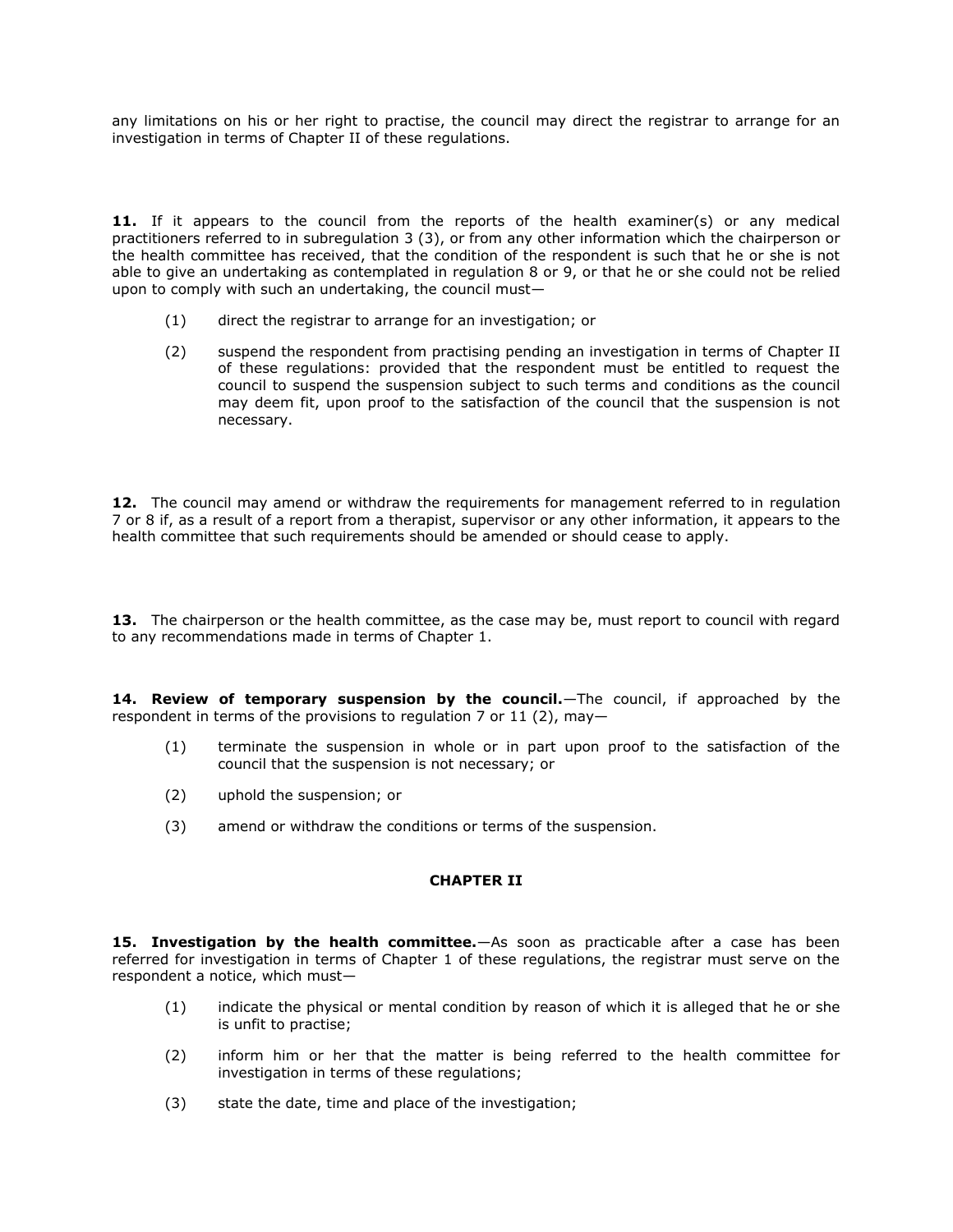any limitations on his or her right to practise, the council may direct the registrar to arrange for an investigation in terms of [Chapter II](http://www.mylexisnexis.co.za/nxt/gateway.dll/jilc/kilc/xjsg/zmsg/cnsg/6ok2a/trk2a#3a6) of these regulations.

**11.** If it appears to the council from the reports of the health examiner(s) or any medical practitioners referred to in [subregulation 3](http://www.mylexisnexis.co.za/nxt/gateway.dll/jilc/kilc/xjsg/zmsg/cnsg/6ok2a/trk2a/wrk2a#3au) (3), or from any other information which the chairperson or the health committee has received, that the condition of the respondent is such that he or she is not able to give an undertaking as contemplated in [regulation 8](http://www.mylexisnexis.co.za/nxt/gateway.dll/jilc/kilc/xjsg/zmsg/cnsg/6ok2a/trk2a/1rk2a#3bb) or [9,](http://www.mylexisnexis.co.za/nxt/gateway.dll/jilc/kilc/xjsg/zmsg/cnsg/6ok2a/trk2a/2rk2a#3bc) or that he or she could not be relied upon to comply with such an undertaking, the council must—

- (1) direct the registrar to arrange for an investigation; or
- (2) suspend the respondent from practising pending an investigation in terms of [Chapter II](http://www.mylexisnexis.co.za/nxt/gateway.dll/jilc/kilc/xjsg/zmsg/cnsg/6ok2a/trk2a#3a6) of these regulations: provided that the respondent must be entitled to request the council to suspend the suspension subject to such terms and conditions as the council may deem fit, upon proof to the satisfaction of the council that the suspension is not necessary.

**12.** The council may amend or withdraw the requirements for management referred to in [regulation](http://www.mylexisnexis.co.za/nxt/gateway.dll/jilc/kilc/xjsg/zmsg/cnsg/6ok2a/trk2a/0rk2a#3ba)  [7](http://www.mylexisnexis.co.za/nxt/gateway.dll/jilc/kilc/xjsg/zmsg/cnsg/6ok2a/trk2a/0rk2a#3ba) or [8](http://www.mylexisnexis.co.za/nxt/gateway.dll/jilc/kilc/xjsg/zmsg/cnsg/6ok2a/trk2a/1rk2a#3bb) if, as a result of a report from a therapist, supervisor or any other information, it appears to the health committee that such requirements should be amended or should cease to apply.

**13.** The chairperson or the health committee, as the case may be, must report to council with regard to any recommendations made in terms of Chapter 1.

14. Review of temporary suspension by the council.—The council, if approached by the respondent in terms of the provisions to [regulation 7](http://www.mylexisnexis.co.za/nxt/gateway.dll/jilc/kilc/xjsg/zmsg/cnsg/6ok2a/trk2a/0rk2a#3ba) or 11 [\(2\),](http://www.mylexisnexis.co.za/nxt/gateway.dll/jilc/kilc/xjsg/zmsg/cnsg/6ok2a/trk2a/4rk2a#3bg) may—

- (1) terminate the suspension in whole or in part upon proof to the satisfaction of the council that the suspension is not necessary; or
- (2) uphold the suspension; or
- (3) amend or withdraw the conditions or terms of the suspension.

## **CHAPTER II**

**15. Investigation by the health committee.**—As soon as practicable after a case has been referred for investigation in terms of Chapter 1 of these regulations, the registrar must serve on the respondent a notice, which must—

- (1) indicate the physical or mental condition by reason of which it is alleged that he or she is unfit to practise;
- (2) inform him or her that the matter is being referred to the health committee for investigation in terms of these regulations;
- (3) state the date, time and place of the investigation;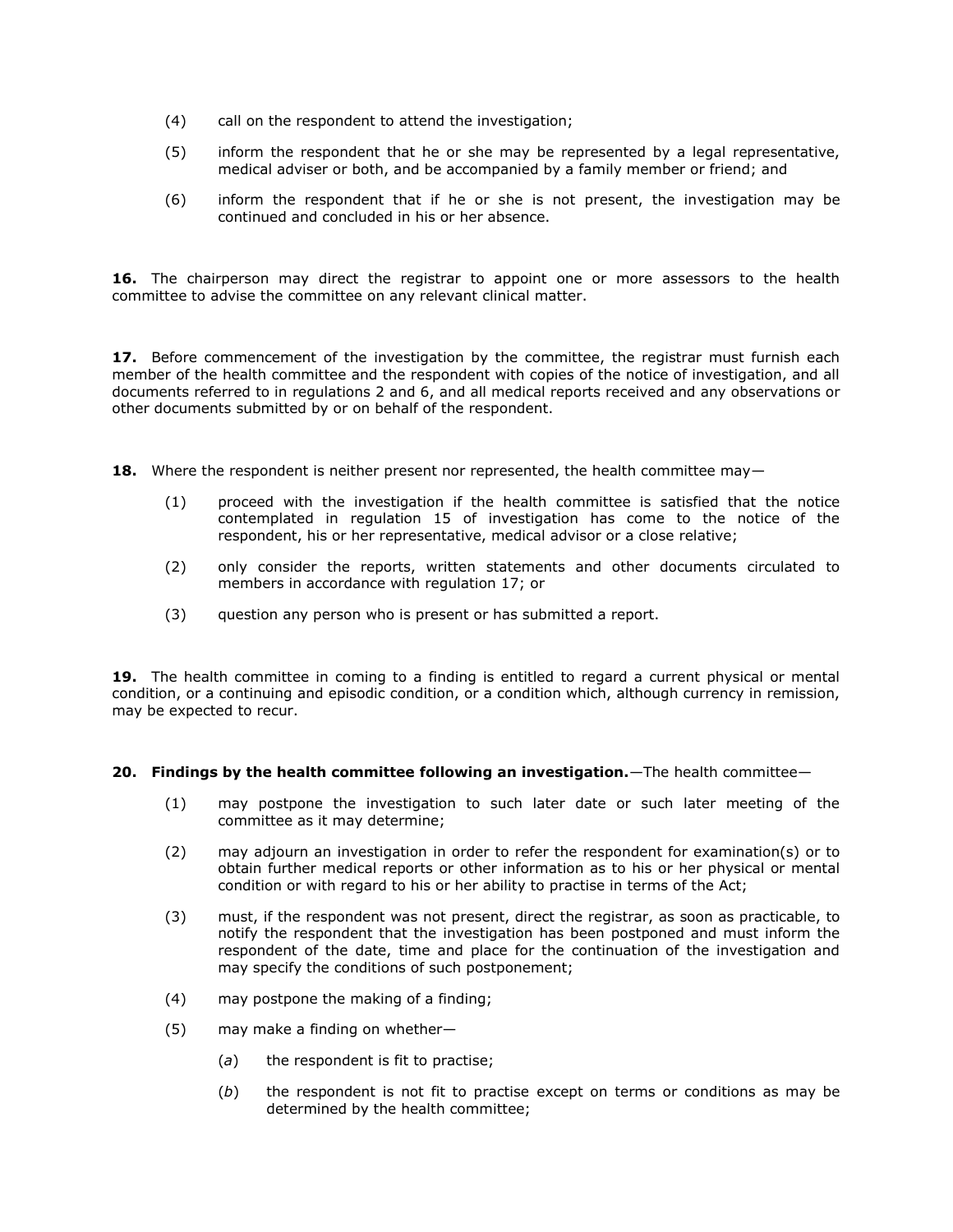- (4) call on the respondent to attend the investigation;
- (5) inform the respondent that he or she may be represented by a legal representative, medical adviser or both, and be accompanied by a family member or friend; and
- (6) inform the respondent that if he or she is not present, the investigation may be continued and concluded in his or her absence.

**16.** The chairperson may direct the registrar to appoint one or more assessors to the health committee to advise the committee on any relevant clinical matter.

17. Before commencement of the investigation by the committee, the registrar must furnish each member of the health committee and the respondent with copies of the notice of investigation, and all documents referred to in [regulations 2](http://www.mylexisnexis.co.za/nxt/gateway.dll/jilc/kilc/xjsg/zmsg/cnsg/6ok2a/trk2a/vrk2a#3am) and [6,](http://www.mylexisnexis.co.za/nxt/gateway.dll/jilc/kilc/xjsg/zmsg/cnsg/6ok2a/trk2a/zrk2a#3b7) and all medical reports received and any observations or other documents submitted by or on behalf of the respondent.

**18.** Where the respondent is neither present nor represented, the health committee may-

- (1) proceed with the investigation if the health committee is satisfied that the notice contemplated in [regulation 15](http://www.mylexisnexis.co.za/nxt/gateway.dll/jilc/kilc/xjsg/zmsg/cnsg/6ok2a/trk2a/8rk2a#3bn) of investigation has come to the notice of the respondent, his or her representative, medical advisor or a close relative;
- (2) only consider the reports, written statements and other documents circulated to members in accordance with [regulation 17;](http://www.mylexisnexis.co.za/nxt/gateway.dll/jilc/kilc/xjsg/zmsg/cnsg/6ok2a/trk2a/ask2a#3bv) or
- (3) question any person who is present or has submitted a report.

**19.** The health committee in coming to a finding is entitled to regard a current physical or mental condition, or a continuing and episodic condition, or a condition which, although currency in remission, may be expected to recur.

### **20. Findings by the health committee following an investigation.**—The health committee—

- (1) may postpone the investigation to such later date or such later meeting of the committee as it may determine;
- (2) may adjourn an investigation in order to refer the respondent for examination(s) or to obtain further medical reports or other information as to his or her physical or mental condition or with regard to his or her ability to practise in terms of the Act;
- (3) must, if the respondent was not present, direct the registrar, as soon as practicable, to notify the respondent that the investigation has been postponed and must inform the respondent of the date, time and place for the continuation of the investigation and may specify the conditions of such postponement;
- (4) may postpone the making of a finding;
- (5) may make a finding on whether—
	- (*a*) the respondent is fit to practise;
	- (*b*) the respondent is not fit to practise except on terms or conditions as may be determined by the health committee;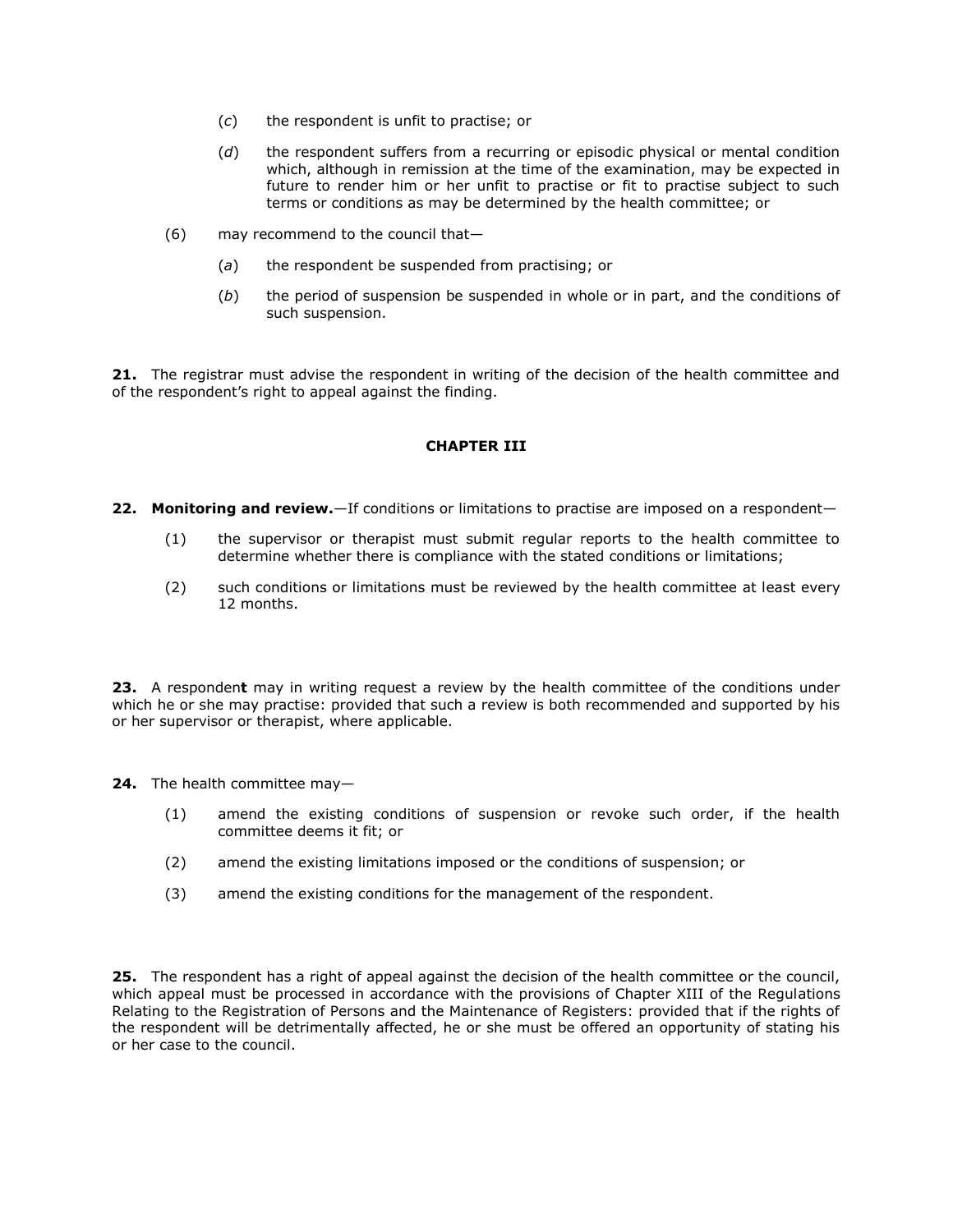- (*c*) the respondent is unfit to practise; or
- (*d*) the respondent suffers from a recurring or episodic physical or mental condition which, although in remission at the time of the examination, may be expected in future to render him or her unfit to practise or fit to practise subject to such terms or conditions as may be determined by the health committee; or
- (6) may recommend to the council that—
	- (*a*) the respondent be suspended from practising; or
	- (*b*) the period of suspension be suspended in whole or in part, and the conditions of such suspension.

**21.** The registrar must advise the respondent in writing of the decision of the health committee and of the respondent's right to appeal against the finding.

# **CHAPTER III**

- **22. Monitoring and review.**—If conditions or limitations to practise are imposed on a respondent—
	- (1) the supervisor or therapist must submit regular reports to the health committee to determine whether there is compliance with the stated conditions or limitations;
	- (2) such conditions or limitations must be reviewed by the health committee at least every 12 months.

**23.** A responden**t** may in writing request a review by the health committee of the conditions under which he or she may practise: provided that such a review is both recommended and supported by his or her supervisor or therapist, where applicable.

**24.** The health committee may—

- (1) amend the existing conditions of suspension or revoke such order, if the health committee deems it fit; or
- (2) amend the existing limitations imposed or the conditions of suspension; or
- (3) amend the existing conditions for the management of the respondent.

**25.** The respondent has a right of appeal against the decision of the health committee or the council, which appeal must be processed in accordance with the provisions of Chapter XIII of the Regulations Relating to the Registration of Persons and the Maintenance of Registers: provided that if the rights of the respondent will be detrimentally affected, he or she must be offered an opportunity of stating his or her case to the council.